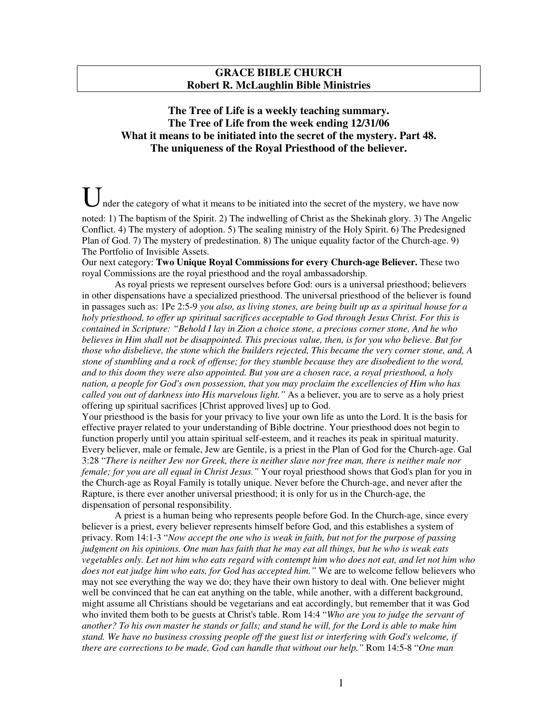## **GRACE BIBLE CHURCH Robert R. McLaughlin Bible Ministries**

## **The Tree of Life is a weekly teaching summary. The Tree of Life from the week ending 12/31/06 What it means to be initiated into the secret of the mystery. Part 48. The uniqueness of the Royal Priesthood of the believer.**

nder the category of what it means to be initiated into the secret of the mystery, we have now noted: 1) The baptism of the Spirit. 2) The indwelling of Christ as the Shekinah glory. 3) The Angelic

Conflict. 4) The mystery of adoption. 5) The sealing ministry of the Holy Spirit. 6) The Predesigned Plan of God. 7) The mystery of predestination. 8) The unique equality factor of the Church-age. 9) The Portfolio of Invisible Assets.

Our next category: **Two Unique Royal Commissions for every Church-age Believer.** These two royal Commissions are the royal priesthood and the royal ambassadorship.

As royal priests we represent ourselves before God: ours is a universal priesthood; believers in other dispensations have a specialized priesthood. The universal priesthood of the believer is found in passages such as: 1Pe 2:5-9 *you also, as living stones, are being built up as a spiritual house for a holy priesthood, to offer up spiritual sacrifices acceptable to God through Jesus Christ. For this is contained in Scripture: "Behold I lay in Zion a choice stone, a precious corner stone, And he who* believes in Him shall not be disappointed. This precious value, then, is for you who believe. But for *those who disbelieve, the stone which the builders rejected, This became the very corner stone, and, A* stone of stumbling and a rock of offense; for they stumble because they are disobedient to the word, and to this doom they were also appointed. But you are a chosen race, a royal priesthood, a holy *nation, a people for God's own possession, that you may proclaim the excellencies of Him who has called you out of darkness into His marvelous light."* As a believer, you are to serve as a holy priest offering up spiritual sacrifices [Christ approved lives] up to God.

Your priesthood is the basis for your privacy to live your own life as unto the Lord. It is the basis for effective prayer related to your understanding of Bible doctrine. Your priesthood does not begin to function properly until you attain spiritual self-esteem, and it reaches its peak in spiritual maturity. Every believer, male or female, Jew are Gentile, is a priest in the Plan of God for the Church-age. Gal 3:28 "There is neither Jew nor Greek, there is neither slave nor free man, there is neither male nor *female; for you are all equal in Christ Jesus."* Your royal priesthood shows that God's plan for you in the Church-age as Royal Family is totally unique. Never before the Church-age, and never after the Rapture, is there ever another universal priesthood; it is only for us in the Church-age, the dispensation of personal responsibility.

A priest is a human being who represents people before God. In the Church-age, since every believer is a priest, every believer represents himself before God, and this establishes a system of privacy. Rom 14:1-3 "*Now accept the one who is weak in faith, but not for the purpose of passing* judgment on his opinions. One man has faith that he may eat all things, but he who is weak eats vegetables only. Let not him who eats regard with contempt him who does not eat, and let not him who *does not eat judge him who eats, for God has accepted him."* We are to welcome fellow believers who may not see everything the way we do; they have their own history to deal with. One believer might well be convinced that he can eat anything on the table, while another, with a different background, might assume all Christians should be vegetarians and eat accordingly, but remember that it was God who invited them both to be guests at Christ's table. Rom 14:4 "*Who are you to judge the servant of* another? To his own master he stands or falls; and stand he will, for the Lord is able to make him *stand. We have no business crossing people off the guest list or interfering with God's welcome, if there are corrections to be made, God can handle that without our help."* Rom 14:5-8 "*One man*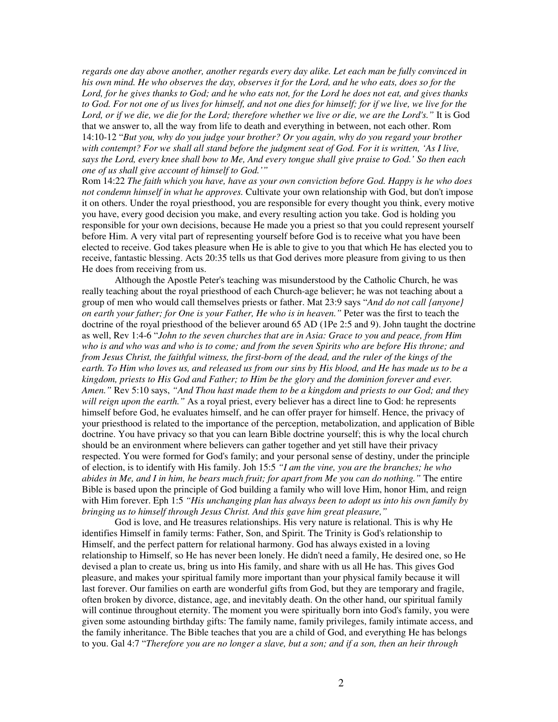*regards one day above another, another regards every day alike. Let each man be fully convinced in* his own mind. He who observes the day, observes it for the Lord, and he who eats, does so for the Lord, for he gives thanks to God; and he who eats not, for the Lord he does not eat, and gives thanks to God. For not one of us lives for himself, and not one dies for himself; for if we live, we live for the Lord, or if we die, we die for the Lord; therefore whether we live or die, we are the Lord's." It is God that we answer to, all the way from life to death and everything in between, not each other. Rom 14:10-12 "*But you, why do you judge your brother? Or you again, why do you regard your brother* with contempt? For we shall all stand before the judgment seat of God. For it is written, 'As I live, says the Lord, every knee shall bow to Me, And every tongue shall give praise to God.' So then each *one of us shall give account of himself to God.'"*

Rom 14:22 *The faith which you have, have as your own conviction before God. Happy is he who does not condemn himself in what he approves.* Cultivate your own relationship with God, but don't impose it on others. Under the royal priesthood, you are responsible for every thought you think, every motive you have, every good decision you make, and every resulting action you take. God is holding you responsible for your own decisions, because He made you a priest so that you could represent yourself before Him. A very vital part of representing yourself before God is to receive what you have been elected to receive. God takes pleasure when He is able to give to you that which He has elected you to receive, fantastic blessing. Acts 20:35 tells us that God derives more pleasure from giving to us then He does from receiving from us.

Although the Apostle Peter's teaching was misunderstood by the Catholic Church, he was really teaching about the royal priesthood of each Church-age believer; he was not teaching about a group of men who would call themselves priests or father. Mat 23:9 says "*And do not call {anyone} on earth your father; for One is your Father, He who is in heaven."* Peter was the first to teach the doctrine of the royal priesthood of the believer around 65 AD (1Pe 2:5 and 9). John taught the doctrine as well, Rev 1:4-6 "*John to the seven churches that are in Asia: Grace to you and peace, from Him* who is and who was and who is to come; and from the seven Spirits who are before His throne; and from Jesus Christ, the faithful witness, the first-born of the dead, and the ruler of the kings of the earth. To Him who loves us, and released us from our sins by His blood, and He has made us to be a *kingdom, priests to His God and Father; to Him be the glory and the dominion forever and ever. Amen."* Rev 5:10 says, *"And Thou hast made them to be a kingdom and priests to our God; and they will reign upon the earth."* As a royal priest, every believer has a direct line to God: he represents himself before God, he evaluates himself, and he can offer prayer for himself. Hence, the privacy of your priesthood is related to the importance of the perception, metabolization, and application of Bible doctrine. You have privacy so that you can learn Bible doctrine yourself; this is why the local church should be an environment where believers can gather together and yet still have their privacy respected. You were formed for God's family; and your personal sense of destiny, under the principle of election, is to identify with His family. Joh 15:5 *"I am the vine, you are the branches; he who* abides in Me, and I in him, he bears much fruit; for apart from Me you can do nothing." The entire Bible is based upon the principle of God building a family who will love Him, honor Him, and reign with Him forever. Eph 1:5 *"His unchanging plan has always been to adopt us into his own family by bringing us to himself through Jesus Christ. And this gave him great pleasure,"*

God is love, and He treasures relationships. His very nature is relational. This is why He identifies Himself in family terms: Father, Son, and Spirit. The Trinity is God's relationship to Himself, and the perfect pattern for relational harmony. God has always existed in a loving relationship to Himself, so He has never been lonely. He didn't need a family, He desired one, so He devised a plan to create us, bring us into His family, and share with us all He has. This gives God pleasure, and makes your spiritual family more important than your physical family because it will last forever. Our families on earth are wonderful gifts from God, but they are temporary and fragile, often broken by divorce, distance, age, and inevitably death. On the other hand, our spiritual family will continue throughout eternity. The moment you were spiritually born into God's family, you were given some astounding birthday gifts: The family name, family privileges, family intimate access, and the family inheritance. The Bible teaches that you are a child of God, and everything He has belongs to you. Gal 4:7 "Therefore you are no longer a slave, but a son; and if a son, then an heir through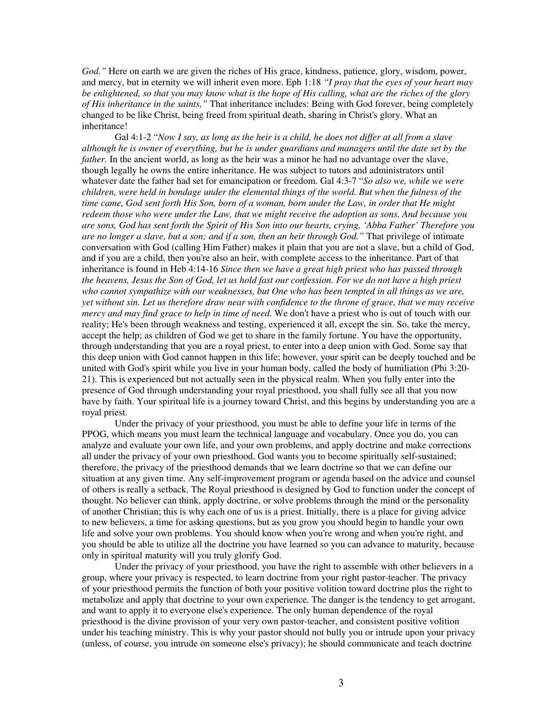*God."* Here on earth we are given the riches of His grace, kindness, patience, glory, wisdom, power, and mercy, but in eternity we will inherit even more. Eph 1:18 *"I pray that the eyes of your heart may* be enlightened, so that you may know what is the hope of His calling, what are the riches of the glory *of His inheritance in the saints,"* That inheritance includes: Being with God forever, being completely changed to be like Christ, being freed from spiritual death, sharing in Christ's glory. What an inheritance!

Gal 4:1-2 "Now I say, as long as the heir is a child, he does not differ at all from a slave although he is owner of everything, but he is under guardians and managers until the date set by the *father*. In the ancient world, as long as the heir was a minor he had no advantage over the slave, though legally he owns the entire inheritance. He was subject to tutors and administrators until whatever date the father had set for emancipation or freedom. Gal 4:3-7 "*So also we, while we were* children, were held in bondage under the elemental things of the world. But when the fulness of the time came, God sent forth His Son, born of a woman, born under the Law, in order that He might *redeem those who were under the Law, that we might receive the adoption as sons. And because you* are sons, God has sent forth the Spirit of His Son into our hearts, crying, 'Abba Father' Therefore you *are no longer a slave, but a son; and if a son, then an heir through God."* That privilege of intimate conversation with God (calling Him Father) makes it plain that you are not a slave, but a child of God, and if you are a child, then you're also an heir, with complete access to the inheritance. Part of that inheritance is found in Heb 4:14-16 *Since then we have a great high priest who has passed through* the heavens, Jesus the Son of God, let us hold fast our confession. For we do not have a high priest *who cannot sympathize with our weaknesses, but One who has been tempted in all things as we are,* yet without sin. Let us therefore draw near with confidence to the throne of grace, that we may receive *mercy and may find grace to help in time of need.* We don't have a priest who is out of touch with our reality; He's been through weakness and testing, experienced it all, except the sin. So, take the mercy, accept the help; as children of God we get to share in the family fortune. You have the opportunity, through understanding that you are a royal priest, to enter into a deep union with God. Some say that this deep union with God cannot happen in this life; however, your spirit can be deeply touched and be united with God's spirit while you live in your human body, called the body of humiliation (Phi 3:20- 21). This is experienced but not actually seen in the physical realm. When you fully enter into the presence of God through understanding your royal priesthood, you shall fully see all that you now have by faith. Your spiritual life is a journey toward Christ, and this begins by understanding you are a royal priest.

Under the privacy of your priesthood, you must be able to define your life in terms of the PPOG, which means you must learn the technical language and vocabulary. Once you do, you can analyze and evaluate your own life, and your own problems, and apply doctrine and make corrections all under the privacy of your own priesthood. God wants you to become spiritually self-sustained; therefore, the privacy of the priesthood demands that we learn doctrine so that we can define our situation at any given time. Any self-improvement program or agenda based on the advice and counsel of others is really a setback. The Royal priesthood is designed by God to function under the concept of thought. No believer can think, apply doctrine, or solve problems through the mind or the personality of another Christian; this is why each one of us is a priest. Initially, there is a place for giving advice to new believers, a time for asking questions, but as you grow you should begin to handle your own life and solve your own problems. You should know when you're wrong and when you're right, and you should be able to utilize all the doctrine you have learned so you can advance to maturity, because only in spiritual maturity will you truly glorify God.

Under the privacy of your priesthood, you have the right to assemble with other believers in a group, where your privacy is respected, to learn doctrine from your right pastor-teacher. The privacy of your priesthood permits the function of both your positive volition toward doctrine plus the right to metabolize and apply that doctrine to your own experience. The danger is the tendency to get arrogant, and want to apply it to everyone else's experience. The only human dependence of the royal priesthood is the divine provision of your very own pastor-teacher, and consistent positive volition under his teaching ministry. This is why your pastor should not bully you or intrude upon your privacy (unless, of course, you intrude on someone else's privacy); he should communicate and teach doctrine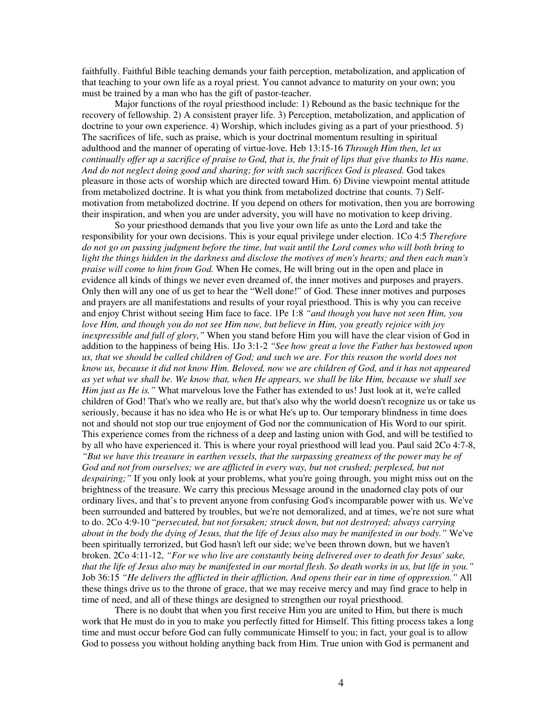faithfully. Faithful Bible teaching demands your faith perception, metabolization, and application of that teaching to your own life as a royal priest. You cannot advance to maturity on your own; you must be trained by a man who has the gift of pastor-teacher.

Major functions of the royal priesthood include: 1) Rebound as the basic technique for the recovery of fellowship. 2) A consistent prayer life. 3) Perception, metabolization, and application of doctrine to your own experience. 4) Worship, which includes giving as a part of your priesthood. 5) The sacrifices of life, such as praise, which is your doctrinal momentum resulting in spiritual adulthood and the manner of operating of virtue-love. Heb 13:15-16 *Through Him then, let us* continually offer up a sacrifice of praise to God, that is, the fruit of lips that give thanks to His name. *And do not neglect doing good and sharing; for with such sacrifices God is pleased.* God takes pleasure in those acts of worship which are directed toward Him. 6) Divine viewpoint mental attitude from metabolized doctrine. It is what you think from metabolized doctrine that counts. 7) Selfmotivation from metabolized doctrine. If you depend on others for motivation, then you are borrowing their inspiration, and when you are under adversity, you will have no motivation to keep driving.

So your priesthood demands that you live your own life as unto the Lord and take the responsibility for your own decisions. This is your equal privilege under election. 1Co 4:5 *Therefore* do not go on passing judgment before the time, but wait until the Lord comes who will both bring to light the things hidden in the darkness and disclose the motives of men's hearts; and then each man's *praise will come to him from God.* When He comes, He will bring out in the open and place in evidence all kinds of things we never even dreamed of, the inner motives and purposes and prayers. Only then will any one of us get to hear the "Well done!" of God. These inner motives and purposes and prayers are all manifestations and results of your royal priesthood. This is why you can receive and enjoy Christ without seeing Him face to face. 1Pe 1:8 *"and though you have not seen Him, you* love Him, and though you do not see Him now, but believe in Him, you greatly rejoice with joy *inexpressible and full of glory,"* When you stand before Him you will have the clear vision of God in addition to the happiness of being His. 1Jo 3:1-2 *"See how great a love the Father has bestowed upon* us, that we should be called children of God; and such we are. For this reason the world does not know us, because it did not know Him. Beloved, now we are children of God, and it has not appeared as yet what we shall be. We know that, when He appears, we shall be like Him, because we shall see *Him just as He is."* What marvelous love the Father has extended to us! Just look at it, we're called children of God! That's who we really are, but that's also why the world doesn't recognize us or take us seriously, because it has no idea who He is or what He's up to. Our temporary blindness in time does not and should not stop our true enjoyment of God nor the communication of His Word to our spirit. This experience comes from the richness of a deep and lasting union with God, and will be testified to by all who have experienced it. This is where your royal priesthood will lead you. Paul said 2Co 4:7-8, "But we have this treasure in earthen vessels, that the surpassing greatness of the power may be of *God and not from ourselves; we are afflicted in every way, but not crushed; perplexed, but not despairing;"* If you only look at your problems, what you're going through, you might miss out on the brightness of the treasure. We carry this precious Message around in the unadorned clay pots of our ordinary lives, and that's to prevent anyone from confusing God's incomparable power with us. We've been surrounded and battered by troubles, but we're not demoralized, and at times, we're not sure what to do. 2Co 4:9-10 "*persecuted, but not forsaken; struck down, but not destroyed; always carrying* about in the body the dying of Jesus, that the life of Jesus also may be manifested in our body." We've been spiritually terrorized, but God hasn't left our side; we've been thrown down, but we haven't broken. 2Co 4:11-12, *"For we who live are constantly being delivered over to death for Jesus' sake,* that the life of Jesus also may be manifested in our mortal flesh. So death works in us, but life in you." Job 36:15 *"He delivers the afflicted in their affliction, And opens their ear in time of oppression."* All these things drive us to the throne of grace, that we may receive mercy and may find grace to help in time of need, and all of these things are designed to strengthen our royal priesthood.

There is no doubt that when you first receive Him you are united to Him, but there is much work that He must do in you to make you perfectly fitted for Himself. This fitting process takes a long time and must occur before God can fully communicate Himself to you; in fact, your goal is to allow God to possess you without holding anything back from Him. True union with God is permanent and